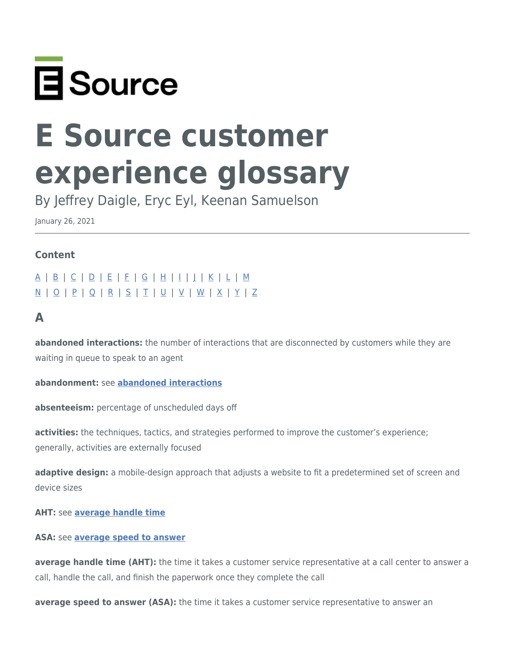

# **E Source customer experience glossary**

By Jeffrey Daigle, Eryc Eyl, Keenan Samuelson

January 26, 2021

### **Content**

[A](#page-0-0) | [B](#page-1-0) | [C](#page-1-1) | [D](#page-3-0) | [E](#page-4-0) | [F](#page-4-1) | [G](#page-4-2) | [H](#page-5-0) | [I](#page-5-1) | [J](#page-5-2) | [K](#page-5-3) | [L](#page-5-4) | [M](#page-5-5) [N](#page-6-0) | [O](#page-6-1) | [P](#page-6-2) | [Q](#page-7-0) | [R](#page-7-1) | [S](#page-7-2) | [T](#page-8-0) | [U](#page-8-1) | [V](#page-8-2) | [W](#page-8-3) | [X](#page-9-0) | [Y](#page-9-1) | [Z](#page-9-2)

# <span id="page-0-0"></span>**A**

<span id="page-0-1"></span>**abandoned interactions:** the number of interactions that are disconnected by customers while they are waiting in queue to speak to an agent

### **abandonment:** see **[abandoned interactions](#page-0-1)**

**absenteeism:** percentage of unscheduled days off

**activities:** the techniques, tactics, and strategies performed to improve the customer's experience; generally, activities are externally focused

**adaptive design:** a mobile-design approach that adjusts a website to fit a predetermined set of screen and device sizes

**AHT:** see **[average handle time](#page-0-2)**

### **ASA:** see **[average speed to answer](#page-0-3)**

<span id="page-0-2"></span>**average handle time (AHT):** the time it takes a customer service representative at a call center to answer a call, handle the call, and finish the paperwork once they complete the call

<span id="page-0-3"></span>**average speed to answer (ASA):** the time it takes a customer service representative to answer an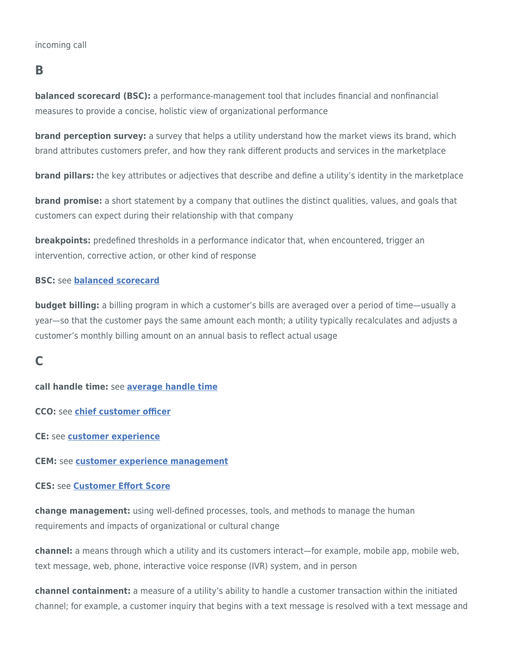### <span id="page-1-0"></span>**B**

<span id="page-1-2"></span>**balanced scorecard (BSC):** a performance-management tool that includes financial and nonfinancial measures to provide a concise, holistic view of organizational performance

**brand perception survey:** a survey that helps a utility understand how the market views its brand, which brand attributes customers prefer, and how they rank different products and services in the marketplace

**brand pillars:** the key attributes or adjectives that describe and define a utility's identity in the marketplace

**brand promise:** a short statement by a company that outlines the distinct qualities, values, and goals that customers can expect during their relationship with that company

**breakpoints:** predefined thresholds in a performance indicator that, when encountered, trigger an intervention, corrective action, or other kind of response

### **BSC:** see **[balanced scorecard](#page-1-2)**

**budget billing:** a billing program in which a customer's bills are averaged over a period of time—usually a year—so that the customer pays the same amount each month; a utility typically recalculates and adjusts a customer's monthly billing amount on an annual basis to reflect actual usage

# <span id="page-1-1"></span>**C**

**call handle time:** see **[average handle time](#page-0-2)**

**CCO:** see **[chief customer officer](#page-2-0)**

**CE:** see **[customer experience](#page-2-1)**

**CEM:** see **[customer experience management](#page-2-2)**

### **CES:** see **[Customer Effort Score](#page-2-3)**

**change management:** using well-defined processes, tools, and methods to manage the human requirements and impacts of organizational or cultural change

**channel:** a means through which a utility and its customers interact—for example, mobile app, mobile web, text message, web, phone, interactive voice response (IVR) system, and in person

**channel containment:** a measure of a utility's ability to handle a customer transaction within the initiated channel; for example, a customer inquiry that begins with a text message is resolved with a text message and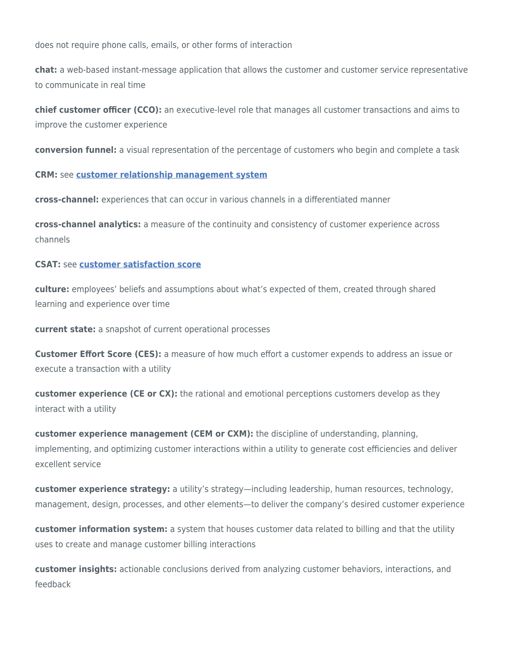does not require phone calls, emails, or other forms of interaction

**chat:** a web-based instant-message application that allows the customer and customer service representative to communicate in real time

<span id="page-2-0"></span>**chief customer officer (CCO):** an executive-level role that manages all customer transactions and aims to improve the customer experience

**conversion funnel:** a visual representation of the percentage of customers who begin and complete a task

**CRM:** see **[customer relationship management system](#page-3-1)**

**cross-channel:** experiences that can occur in various channels in a differentiated manner

**cross-channel analytics:** a measure of the continuity and consistency of customer experience across channels

#### **CSAT:** see **[customer satisfaction score](#page-3-2)**

<span id="page-2-5"></span>**culture:** employees' beliefs and assumptions about what's expected of them, created through shared learning and experience over time

**current state:** a snapshot of current operational processes

<span id="page-2-3"></span>**Customer Effort Score (CES):** a measure of how much effort a customer expends to address an issue or execute a transaction with a utility

<span id="page-2-1"></span>**customer experience (CE or CX):** the rational and emotional perceptions customers develop as they interact with a utility

<span id="page-2-2"></span>**customer experience management (CEM or CXM):** the discipline of understanding, planning, implementing, and optimizing customer interactions within a utility to generate cost efficiencies and deliver excellent service

**customer experience strategy:** a utility's strategy—including leadership, human resources, technology, management, design, processes, and other elements—to deliver the company's desired customer experience

**customer information system:** a system that houses customer data related to billing and that the utility uses to create and manage customer billing interactions

<span id="page-2-4"></span>**customer insights:** actionable conclusions derived from analyzing customer behaviors, interactions, and feedback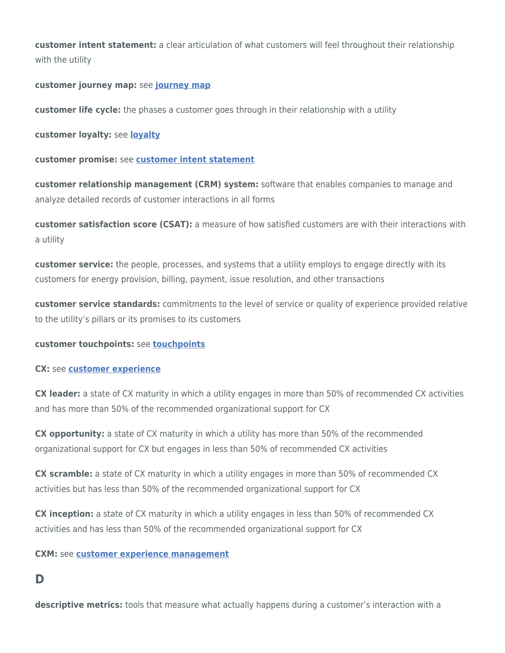**customer intent statement:** a clear articulation of what customers will feel throughout their relationship with the utility

### **customer journey map:** see **[journey map](#page-5-6)**

**customer life cycle:** the phases a customer goes through in their relationship with a utility

**customer loyalty:** see **[loyalty](#page-5-7)**

**customer promise:** see **[customer intent statement](#page-2-4)**

<span id="page-3-1"></span>**customer relationship management (CRM) system:** software that enables companies to manage and analyze detailed records of customer interactions in all forms

<span id="page-3-2"></span>**customer satisfaction score (CSAT):** a measure of how satisfied customers are with their interactions with a utility

**customer service:** the people, processes, and systems that a utility employs to engage directly with its customers for energy provision, billing, payment, issue resolution, and other transactions

**customer service standards:** commitments to the level of service or quality of experience provided relative to the utility's pillars or its promises to its customers

### **customer touchpoints:** see **[touchpoints](#page-8-4)**

### **CX:** see **[customer experience](#page-2-1)**

**CX leader:** a state of CX maturity in which a utility engages in more than 50% of recommended CX activities and has more than 50% of the recommended organizational support for CX

**CX opportunity:** a state of CX maturity in which a utility has more than 50% of the recommended organizational support for CX but engages in less than 50% of recommended CX activities

**CX scramble:** a state of CX maturity in which a utility engages in more than 50% of recommended CX activities but has less than 50% of the recommended organizational support for CX

**CX inception:** a state of CX maturity in which a utility engages in less than 50% of recommended CX activities and has less than 50% of the recommended organizational support for CX

### **CXM:** see **[customer experience management](#page-2-2)**

### <span id="page-3-0"></span>**D**

**descriptive metrics:** tools that measure what actually happens during a customer's interaction with a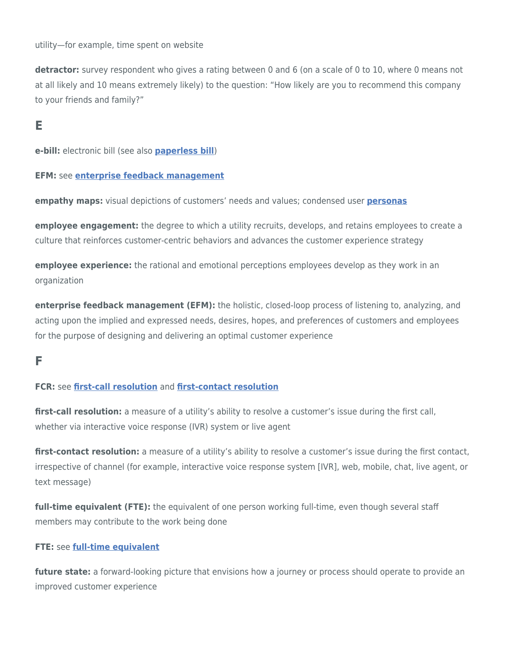utility—for example, time spent on website

**detractor:** survey respondent who gives a rating between 0 and 6 (on a scale of 0 to 10, where 0 means not at all likely and 10 means extremely likely) to the question: "How likely are you to recommend this company to your friends and family?"

# <span id="page-4-0"></span>**E**

<span id="page-4-7"></span>**e-bill:** electronic bill (see also **[paperless bill](#page-6-3)**)

**EFM:** see **[enterprise feedback management](#page-4-3)**

**empathy maps:** visual depictions of customers' needs and values; condensed user **[personas](#page-7-3)**

**employee engagement:** the degree to which a utility recruits, develops, and retains employees to create a culture that reinforces customer-centric behaviors and advances the customer experience strategy

**employee experience:** the rational and emotional perceptions employees develop as they work in an organization

<span id="page-4-3"></span>**enterprise feedback management (EFM):** the holistic, closed-loop process of listening to, analyzing, and acting upon the implied and expressed needs, desires, hopes, and preferences of customers and employees for the purpose of designing and delivering an optimal customer experience

# <span id="page-4-1"></span>**F**

### **FCR:** see **[first-call resolution](#page-4-4)** and **[first-contact resolution](#page-4-5)**

<span id="page-4-4"></span>**first-call resolution:** a measure of a utility's ability to resolve a customer's issue during the first call, whether via interactive voice response (IVR) system or live agent

<span id="page-4-5"></span>**first-contact resolution:** a measure of a utility's ability to resolve a customer's issue during the first contact, irrespective of channel (for example, interactive voice response system [IVR], web, mobile, chat, live agent, or text message)

<span id="page-4-6"></span>**full-time equivalent (FTE):** the equivalent of one person working full-time, even though several staff members may contribute to the work being done

### **FTE:** see **[full-time equivalent](#page-4-6)**

<span id="page-4-2"></span>future state: a forward-looking picture that envisions how a journey or process should operate to provide an improved customer experience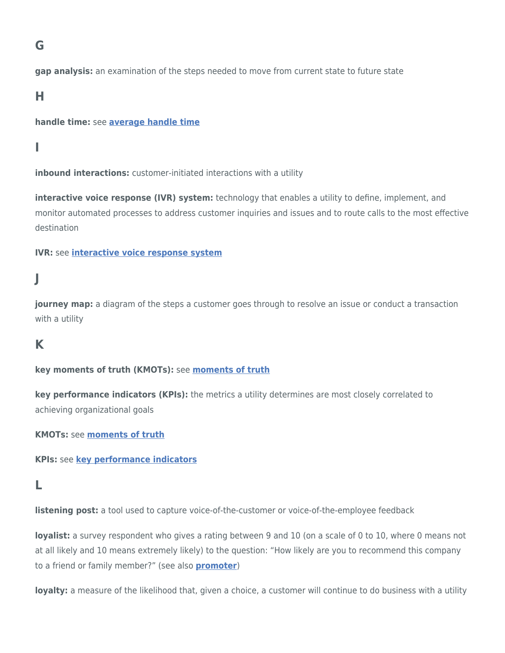# **G**

**gap analysis:** an examination of the steps needed to move from current state to future state

### <span id="page-5-0"></span>**H**

### **handle time:** see **[average handle time](#page-0-2)**

# <span id="page-5-1"></span>**I**

**inbound interactions:** customer-initiated interactions with a utility

<span id="page-5-8"></span>**interactive voice response (IVR) system:** technology that enables a utility to define, implement, and monitor automated processes to address customer inquiries and issues and to route calls to the most effective destination

### **IVR:** see **[interactive voice response system](#page-5-8)**

# <span id="page-5-2"></span>**J**

<span id="page-5-6"></span>**journey map:** a diagram of the steps a customer goes through to resolve an issue or conduct a transaction with a utility

### <span id="page-5-3"></span>**K**

**key moments of truth (KMOTs):** see **[moments of truth](#page-6-4)**

<span id="page-5-9"></span>**key performance indicators (KPIs):** the metrics a utility determines are most closely correlated to achieving organizational goals

**KMOTs:** see **[moments of truth](#page-6-4)**

**KPIs:** see **[key performance indicators](#page-5-9)**

### <span id="page-5-4"></span>**L**

**listening post:** a tool used to capture voice-of-the-customer or voice-of-the-employee feedback

<span id="page-5-10"></span>**loyalist:** a survey respondent who gives a rating between 9 and 10 (on a scale of 0 to 10, where 0 means not at all likely and 10 means extremely likely) to the question: "How likely are you to recommend this company to a friend or family member?" (see also **[promoter](#page-7-4)**)

<span id="page-5-7"></span><span id="page-5-5"></span>**loyalty:** a measure of the likelihood that, given a choice, a customer will continue to do business with a utility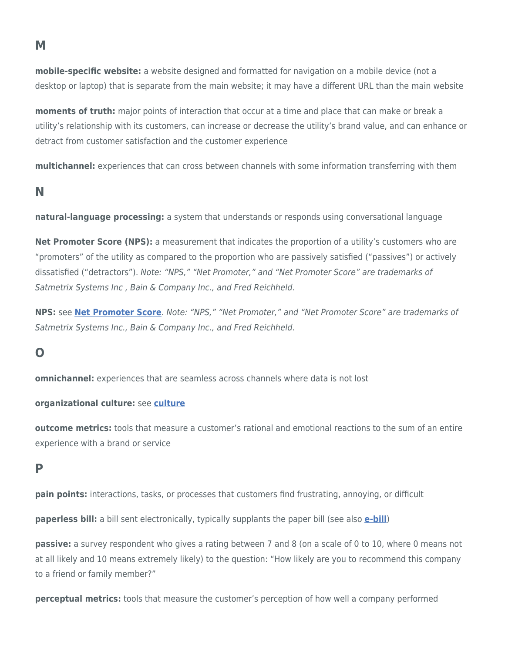**mobile-specific website:** a website designed and formatted for navigation on a mobile device (not a desktop or laptop) that is separate from the main website; it may have a different URL than the main website

<span id="page-6-4"></span>**moments of truth:** major points of interaction that occur at a time and place that can make or break a utility's relationship with its customers, can increase or decrease the utility's brand value, and can enhance or detract from customer satisfaction and the customer experience

**multichannel:** experiences that can cross between channels with some information transferring with them

# <span id="page-6-0"></span>**N**

**natural-language processing:** a system that understands or responds using conversational language

<span id="page-6-5"></span>**Net Promoter Score (NPS):** a measurement that indicates the proportion of a utility's customers who are "promoters" of the utility as compared to the proportion who are passively satisfied ("passives") or actively dissatisfied ("detractors"). Note: "NPS," "Net Promoter," and "Net Promoter Score" are trademarks of Satmetrix Systems Inc , Bain & Company Inc., and Fred Reichheld.

**NPS:** see **[Net Promoter Score](#page-6-5)**. Note: "NPS," "Net Promoter," and "Net Promoter Score" are trademarks of Satmetrix Systems Inc., Bain & Company Inc., and Fred Reichheld.

# <span id="page-6-1"></span>**O**

**omnichannel:** experiences that are seamless across channels where data is not lost

### **organizational culture:** see **[culture](#page-2-5)**

**outcome metrics:** tools that measure a customer's rational and emotional reactions to the sum of an entire experience with a brand or service

### <span id="page-6-2"></span>**P**

**pain points:** interactions, tasks, or processes that customers find frustrating, annoying, or difficult

<span id="page-6-3"></span>**paperless bill:** a bill sent electronically, typically supplants the paper bill (see also **[e-bill](#page-4-7)**)

**passive:** a survey respondent who gives a rating between 7 and 8 (on a scale of 0 to 10, where 0 means not at all likely and 10 means extremely likely) to the question: "How likely are you to recommend this company to a friend or family member?"

**perceptual metrics:** tools that measure the customer's perception of how well a company performed

### **M**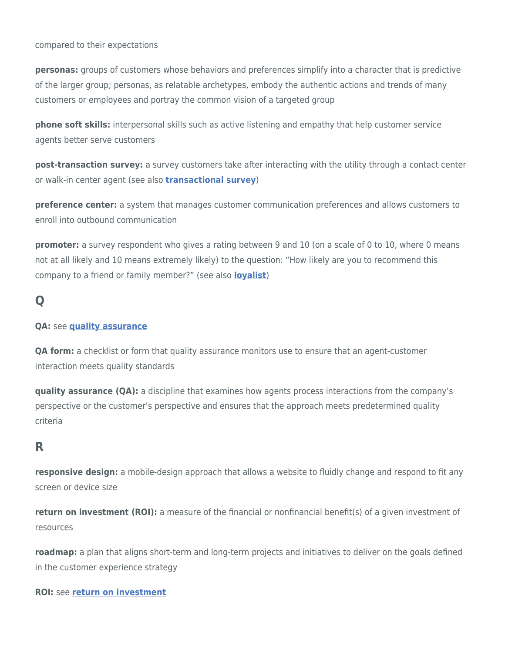compared to their expectations

<span id="page-7-3"></span>**personas:** groups of customers whose behaviors and preferences simplify into a character that is predictive of the larger group; personas, as relatable archetypes, embody the authentic actions and trends of many customers or employees and portray the common vision of a targeted group

**phone soft skills:** interpersonal skills such as active listening and empathy that help customer service agents better serve customers

<span id="page-7-7"></span>**post-transaction survey:** a survey customers take after interacting with the utility through a contact center or walk-in center agent (see also **[transactional survey](#page-8-5)**)

**preference center:** a system that manages customer communication preferences and allows customers to enroll into outbound communication

<span id="page-7-4"></span>**promoter:** a survey respondent who gives a rating between 9 and 10 (on a scale of 0 to 10, where 0 means not at all likely and 10 means extremely likely) to the question: "How likely are you to recommend this company to a friend or family member?" (see also **[loyalist](#page-5-10)**)

# <span id="page-7-0"></span>**Q**

### **QA:** see **[quality assurance](#page-7-5)**

**QA form:** a checklist or form that quality assurance monitors use to ensure that an agent-customer interaction meets quality standards

<span id="page-7-5"></span>**quality assurance (QA):** a discipline that examines how agents process interactions from the company's perspective or the customer's perspective and ensures that the approach meets predetermined quality criteria

# <span id="page-7-1"></span>**R**

**responsive design:** a mobile-design approach that allows a website to fluidly change and respond to fit any screen or device size

<span id="page-7-6"></span>**return on investment (ROI):** a measure of the financial or nonfinancial benefit(s) of a given investment of resources

**roadmap:** a plan that aligns short-term and long-term projects and initiatives to deliver on the goals defined in the customer experience strategy

<span id="page-7-2"></span>**ROI:** see **[return on investment](#page-7-6)**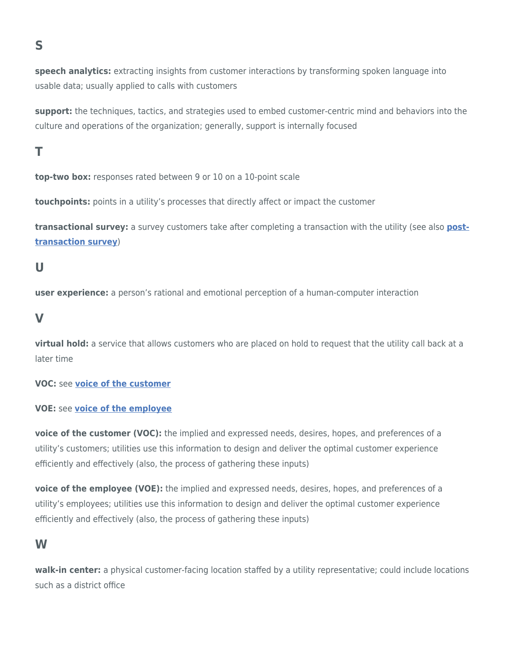# **S**

**speech analytics:** extracting insights from customer interactions by transforming spoken language into usable data; usually applied to calls with customers

**support:** the techniques, tactics, and strategies used to embed customer-centric mind and behaviors into the culture and operations of the organization; generally, support is internally focused

# <span id="page-8-0"></span>**T**

**top-two box:** responses rated between 9 or 10 on a 10-point scale

<span id="page-8-4"></span>**touchpoints:** points in a utility's processes that directly affect or impact the customer

<span id="page-8-5"></span>**transactional survey:** a survey customers take after completing a transaction with the utility (see also **[post](#page-7-7)[transaction survey](#page-7-7)**)

# <span id="page-8-1"></span>**U**

**user experience:** a person's rational and emotional perception of a human-computer interaction

### <span id="page-8-2"></span>**V**

**virtual hold:** a service that allows customers who are placed on hold to request that the utility call back at a later time

**VOC:** see **[voice of the customer](#page-8-6)**

### **VOE:** see **[voice of the employee](#page-8-7)**

<span id="page-8-6"></span>**voice of the customer (VOC):** the implied and expressed needs, desires, hopes, and preferences of a utility's customers; utilities use this information to design and deliver the optimal customer experience efficiently and effectively (also, the process of gathering these inputs)

<span id="page-8-7"></span>**voice of the employee (VOE):** the implied and expressed needs, desires, hopes, and preferences of a utility's employees; utilities use this information to design and deliver the optimal customer experience efficiently and effectively (also, the process of gathering these inputs)

### <span id="page-8-3"></span>**W**

**walk-in center:** a physical customer-facing location staffed by a utility representative; could include locations such as a district office